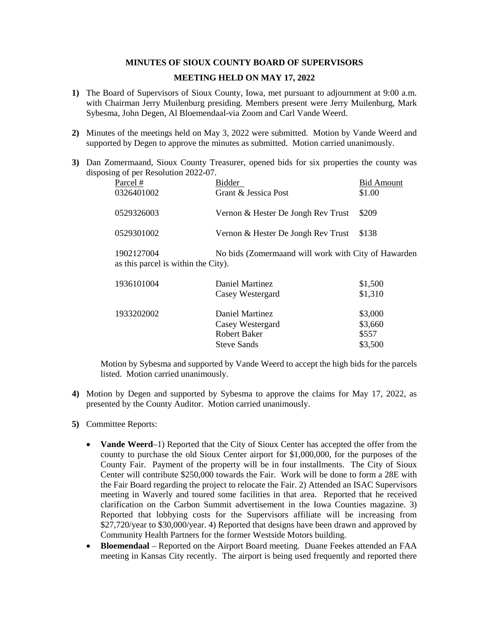## **MINUTES OF SIOUX COUNTY BOARD OF SUPERVISORS**

## **MEETING HELD ON MAY 17, 2022**

- **1)** The Board of Supervisors of Sioux County, Iowa, met pursuant to adjournment at 9:00 a.m. with Chairman Jerry Muilenburg presiding. Members present were Jerry Muilenburg, Mark Sybesma, John Degen, Al Bloemendaal-via Zoom and Carl Vande Weerd.
- **2)** Minutes of the meetings held on May 3, 2022 were submitted. Motion by Vande Weerd and supported by Degen to approve the minutes as submitted. Motion carried unanimously.
- **3)** Dan Zomermaand, Sioux County Treasurer, opened bids for six properties the county was disposing of per Resolution 2022-07.

| Parcel #                                          | Bidder                                              | <b>Bid Amount</b> |  |
|---------------------------------------------------|-----------------------------------------------------|-------------------|--|
| 0326401002                                        | Grant & Jessica Post                                | \$1.00            |  |
| 0529326003                                        | Vernon & Hester De Jongh Rev Trust                  | \$209             |  |
| 0529301002                                        | Vernon & Hester De Jongh Rev Trust                  | \$138             |  |
| 1902127004<br>as this parcel is within the City). | No bids (Zomermaand will work with City of Hawarden |                   |  |
| 1936101004                                        | Daniel Martinez                                     | \$1,500           |  |

| 1720101004 | Daniel Martinez    | $V1$ , $V0$ |
|------------|--------------------|-------------|
|            | Casey Westergard   | \$1,310     |
| 1933202002 | Daniel Martinez    | \$3,000     |
|            | Casey Westergard   | \$3,660     |
|            | Robert Baker       | \$557       |
|            | <b>Steve Sands</b> | \$3,500     |
|            |                    |             |

Motion by Sybesma and supported by Vande Weerd to accept the high bids for the parcels listed. Motion carried unanimously.

- **4)** Motion by Degen and supported by Sybesma to approve the claims for May 17, 2022, as presented by the County Auditor. Motion carried unanimously.
- **5)** Committee Reports:
	- **Vande Weerd**–1) Reported that the City of Sioux Center has accepted the offer from the county to purchase the old Sioux Center airport for \$1,000,000, for the purposes of the County Fair. Payment of the property will be in four installments. The City of Sioux Center will contribute \$250,000 towards the Fair. Work will be done to form a 28E with the Fair Board regarding the project to relocate the Fair. 2) Attended an ISAC Supervisors meeting in Waverly and toured some facilities in that area. Reported that he received clarification on the Carbon Summit advertisement in the Iowa Counties magazine. 3) Reported that lobbying costs for the Supervisors affiliate will be increasing from \$27,720/year to \$30,000/year. 4) Reported that designs have been drawn and approved by Community Health Partners for the former Westside Motors building.
	- **Bloemendaal**  Reported on the Airport Board meeting. Duane Feekes attended an FAA meeting in Kansas City recently. The airport is being used frequently and reported there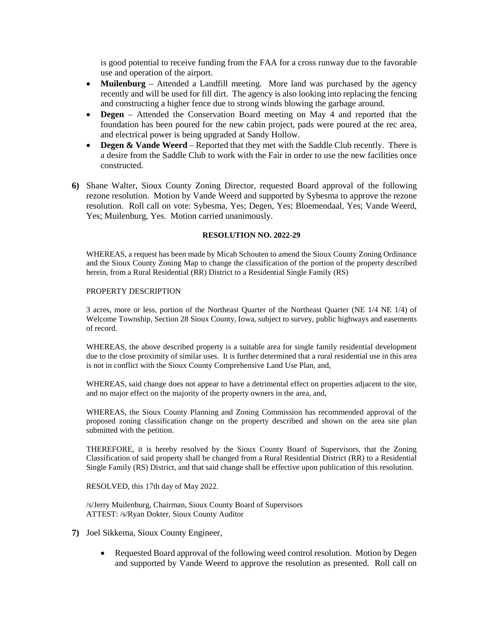is good potential to receive funding from the FAA for a cross runway due to the favorable use and operation of the airport.

- **Muilenburg** Attended a Landfill meeting. More land was purchased by the agency recently and will be used for fill dirt. The agency is also looking into replacing the fencing and constructing a higher fence due to strong winds blowing the garbage around.
- **Degen**  Attended the Conservation Board meeting on May 4 and reported that the foundation has been poured for the new cabin project, pads were poured at the rec area, and electrical power is being upgraded at Sandy Hollow.
- **Degen & Vande Weerd** Reported that they met with the Saddle Club recently. There is a desire from the Saddle Club to work with the Fair in order to use the new facilities once constructed.
- **6)** Shane Walter, Sioux County Zoning Director, requested Board approval of the following rezone resolution. Motion by Vande Weerd and supported by Sybesma to approve the rezone resolution. Roll call on vote: Sybesma, Yes; Degen, Yes; Bloemendaal, Yes; Vande Weerd, Yes; Muilenburg, Yes. Motion carried unanimously.

# **RESOLUTION NO. 2022-29**

WHEREAS, a request has been made by Micah Schouten to amend the Sioux County Zoning Ordinance and the Sioux County Zoning Map to change the classification of the portion of the property described herein, from a Rural Residential (RR) District to a Residential Single Family (RS)

PROPERTY DESCRIPTION

3 acres, more or less, portion of the Northeast Quarter of the Northeast Quarter (NE 1/4 NE 1/4) of Welcome Township, Section 28 Sioux County, Iowa, subject to survey, public highways and easements of record.

WHEREAS, the above described property is a suitable area for single family residential development due to the close proximity of similar uses. It is further determined that a rural residential use in this area is not in conflict with the Sioux County Comprehensive Land Use Plan, and,

WHEREAS, said change does not appear to have a detrimental effect on properties adjacent to the site, and no major effect on the majority of the property owners in the area, and,

WHEREAS, the Sioux County Planning and Zoning Commission has recommended approval of the proposed zoning classification change on the property described and shown on the area site plan submitted with the petition.

THEREFORE, it is hereby resolved by the Sioux County Board of Supervisors, that the Zoning Classification of said property shall be changed from a Rural Residential District (RR) to a Residential Single Family (RS) District, and that said change shall be effective upon publication of this resolution.

RESOLVED, this 17th day of May 2022.

/s/Jerry Muilenburg, Chairman, Sioux County Board of Supervisors ATTEST: /s/Ryan Dokter, Sioux County Auditor

- **7)** Joel Sikkema, Sioux County Engineer,
	- Requested Board approval of the following weed control resolution. Motion by Degen and supported by Vande Weerd to approve the resolution as presented. Roll call on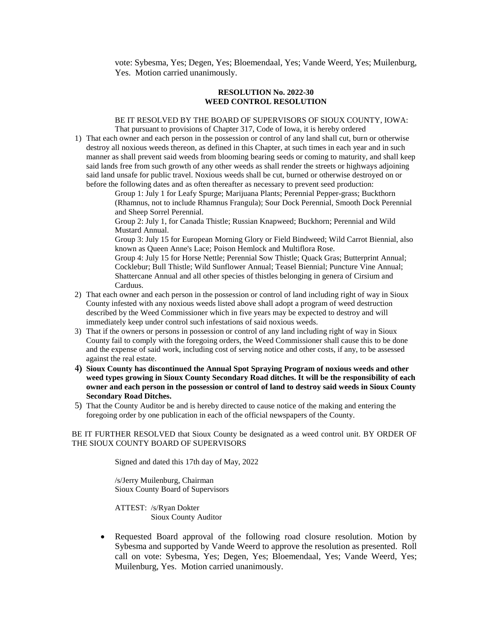vote: Sybesma, Yes; Degen, Yes; Bloemendaal, Yes; Vande Weerd, Yes; Muilenburg, Yes. Motion carried unanimously.

#### **RESOLUTION No. 2022-30 WEED CONTROL RESOLUTION**

## BE IT RESOLVED BY THE BOARD OF SUPERVISORS OF SIOUX COUNTY, IOWA: That pursuant to provisions of Chapter 317, Code of Iowa, it is hereby ordered

1) That each owner and each person in the possession or control of any land shall cut, burn or otherwise destroy all noxious weeds thereon, as defined in this Chapter, at such times in each year and in such manner as shall prevent said weeds from blooming bearing seeds or coming to maturity, and shall keep said lands free from such growth of any other weeds as shall render the streets or highways adjoining said land unsafe for public travel. Noxious weeds shall be cut, burned or otherwise destroyed on or before the following dates and as often thereafter as necessary to prevent seed production:

Group 1: July 1 for Leafy Spurge; Marijuana Plants; Perennial Pepper-grass; Buckthorn (Rhamnus, not to include Rhamnus Frangula); Sour Dock Perennial, Smooth Dock Perennial and Sheep Sorrel Perennial.

Group 2: July 1, for Canada Thistle; Russian Knapweed; Buckhorn; Perennial and Wild Mustard Annual.

Group 3: July 15 for European Morning Glory or Field Bindweed; Wild Carrot Biennial, also known as Queen Anne's Lace; Poison Hemlock and Multiflora Rose.

Group 4: July 15 for Horse Nettle; Perennial Sow Thistle; Quack Gras; Butterprint Annual; Cocklebur; Bull Thistle; Wild Sunflower Annual; Teasel Biennial; Puncture Vine Annual; Shattercane Annual and all other species of thistles belonging in genera of Cirsium and Carduus.

- 2) That each owner and each person in the possession or control of land including right of way in Sioux County infested with any noxious weeds listed above shall adopt a program of weed destruction described by the Weed Commissioner which in five years may be expected to destroy and will immediately keep under control such infestations of said noxious weeds.
- 3) That if the owners or persons in possession or control of any land including right of way in Sioux County fail to comply with the foregoing orders, the Weed Commissioner shall cause this to be done and the expense of said work, including cost of serving notice and other costs, if any, to be assessed against the real estate.
- **4) Sioux County has discontinued the Annual Spot Spraying Program of noxious weeds and other weed types growing in Sioux County Secondary Road ditches. It will be the responsibility of each owner and each person in the possession or control of land to destroy said weeds in Sioux County Secondary Road Ditches.**
- 5) That the County Auditor be and is hereby directed to cause notice of the making and entering the foregoing order by one publication in each of the official newspapers of the County.

BE IT FURTHER RESOLVED that Sioux County be designated as a weed control unit. BY ORDER OF THE SIOUX COUNTY BOARD OF SUPERVISORS

Signed and dated this 17th day of May, 2022

/s/Jerry Muilenburg, Chairman Sioux County Board of Supervisors

ATTEST: /s/Ryan Dokter Sioux County Auditor

• Requested Board approval of the following road closure resolution. Motion by Sybesma and supported by Vande Weerd to approve the resolution as presented. Roll call on vote: Sybesma, Yes; Degen, Yes; Bloemendaal, Yes; Vande Weerd, Yes; Muilenburg, Yes. Motion carried unanimously.